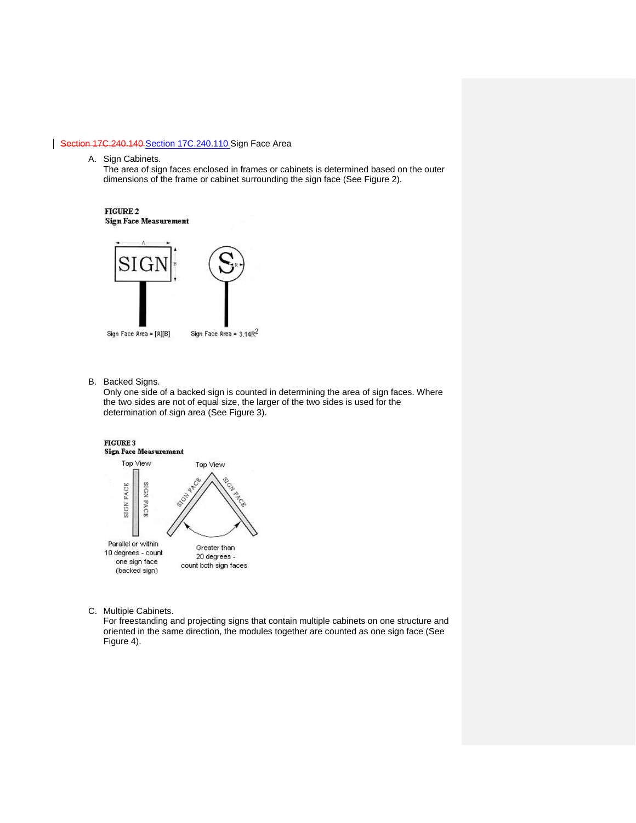## Section 17C.240.140 [Section 17C.240.110](https://my.spokanecity.org/smc/?Section=17C.240.140) Sign Face Area

A. Sign Cabinets.

The area of sign faces enclosed in frames or cabinets is determined based on the outer dimensions of the frame or cabinet surrounding the sign face (See Figure 2).

FIGURE 2 **Sign Face Measurement** 



- Sign Face Area = [A][B]
- Sign Face Area =  $3.14R^2$
- B. Backed Signs.

Only one side of a backed sign is counted in determining the area of sign faces. Where the two sides are not of equal size, the larger of the two sides is used for the determination of sign area (See Figure 3).



C. Multiple Cabinets.

For freestanding and projecting signs that contain multiple cabinets on one structure and oriented in the same direction, the modules together are counted as one sign face (See Figure 4).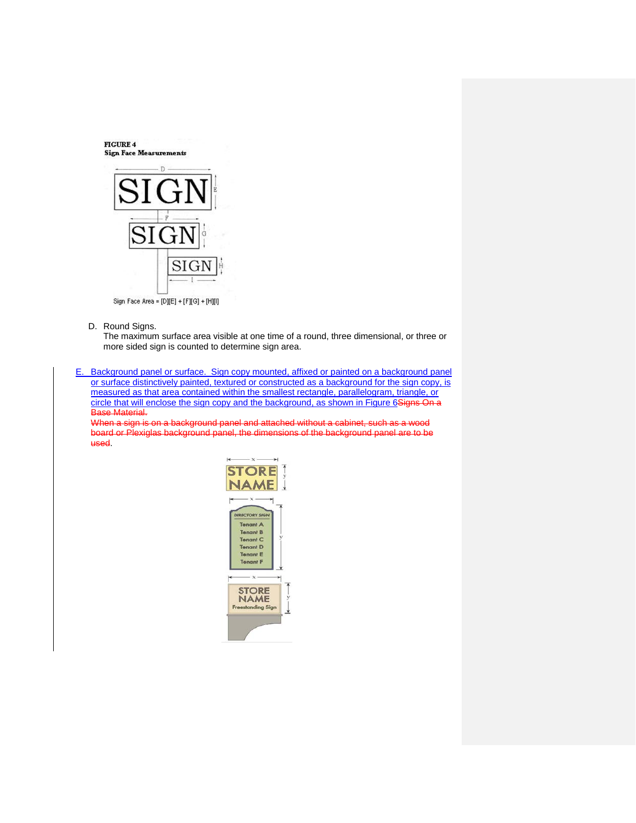**FIGURE 4 Sign Face Measurements** 



Sign Face Area = [D][E] + [F][G] + [H][I]

D. Round Signs.

The maximum surface area visible at one time of a round, three dimensional, or three or more sided sign is counted to determine sign area.

E. Background panel or surface. Sign copy mounted, affixed or painted on a background panel or surface distinctively painted, textured or constructed as a background for the sign copy, is measured as that area contained within the smallest rectangle, parallelogram, triangle, or circle that will enclose the sign copy and the background, as shown in Figure 6Signs On a Base Material.

When a sign is on a background panel and attached without a cabinet, such as a wood board or Plexiglas background panel, the dimensions of the background panel are to be used.

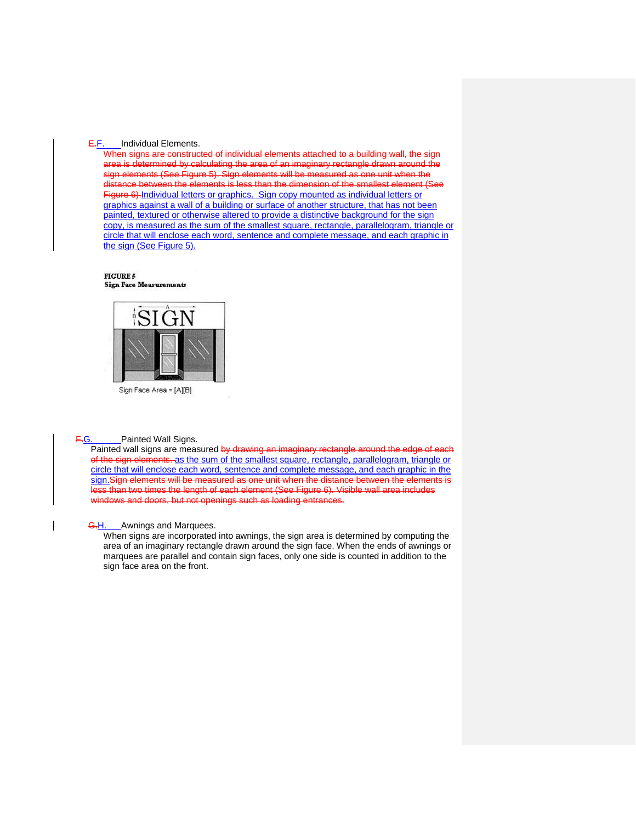## E.F. Individual Elements.

When signs are constructed of individual elements attached to a building wall, the sign area is determined by calculating the area of an imaginary rectangle drawn around the sign elements (See Figure 5). Sign elements will be measured as one unit when the distance between the elements is less than the dimension of the smallest element (See Figure 6).Individual letters or graphics. Sign copy mounted as individual letters or graphics against a wall of a building or surface of another structure, that has not been painted, textured or otherwise altered to provide a distinctive background for the sign copy, is measured as the sum of the smallest square, rectangle, parallelogram, triangle or circle that will enclose each word, sentence and complete message, and each graphic in the sign (See Figure 5).

**FIGURE 5 Sign Face Measurements** 



F.G. Painted Wall Signs.

Painted wall signs are measured by drawing an imaginary rectangle around the edge of each of the sign elements. as the sum of the smallest square, rectangle, parallelogram, triangle or circle that will enclose each word, sentence and complete message, and each graphic in the sign.Sign elements will be measured as one unit when the distance between the elements is less than two times the length of each element (See Figure 6). Visible wall area includes windows and doors, but not openings such as loading entrances.

**G.H.** Awnings and Marquees.

When signs are incorporated into awnings, the sign area is determined by computing the area of an imaginary rectangle drawn around the sign face. When the ends of awnings or marquees are parallel and contain sign faces, only one side is counted in addition to the sign face area on the front.